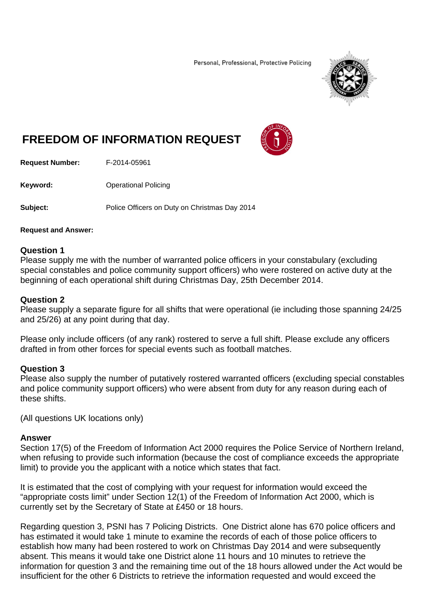Personal, Professional, Protective Policing



# **FREEDOM OF INFORMATION REQUEST**



**Request Number:** F-2014-05961

**Keyword: C**Derational Policing

**Subject:** Police Officers on Duty on Christmas Day 2014

### **Request and Answer:**

# **Question 1**

Please supply me with the number of warranted police officers in your constabulary (excluding special constables and police community support officers) who were rostered on active duty at the beginning of each operational shift during Christmas Day, 25th December 2014.

## **Question 2**

Please supply a separate figure for all shifts that were operational (ie including those spanning 24/25 and 25/26) at any point during that day.

Please only include officers (of any rank) rostered to serve a full shift. Please exclude any officers drafted in from other forces for special events such as football matches.

# **Question 3**

Please also supply the number of putatively rostered warranted officers (excluding special constables and police community support officers) who were absent from duty for any reason during each of these shifts.

(All questions UK locations only)

### **Answer**

Section 17(5) of the Freedom of Information Act 2000 requires the Police Service of Northern Ireland, when refusing to provide such information (because the cost of compliance exceeds the appropriate limit) to provide you the applicant with a notice which states that fact.

It is estimated that the cost of complying with your request for information would exceed the "appropriate costs limit" under Section 12(1) of the Freedom of Information Act 2000, which is currently set by the Secretary of State at £450 or 18 hours.

Regarding question 3, PSNI has 7 Policing Districts. One District alone has 670 police officers and has estimated it would take 1 minute to examine the records of each of those police officers to establish how many had been rostered to work on Christmas Day 2014 and were subsequently absent. This means it would take one District alone 11 hours and 10 minutes to retrieve the information for question 3 and the remaining time out of the 18 hours allowed under the Act would be insufficient for the other 6 Districts to retrieve the information requested and would exceed the